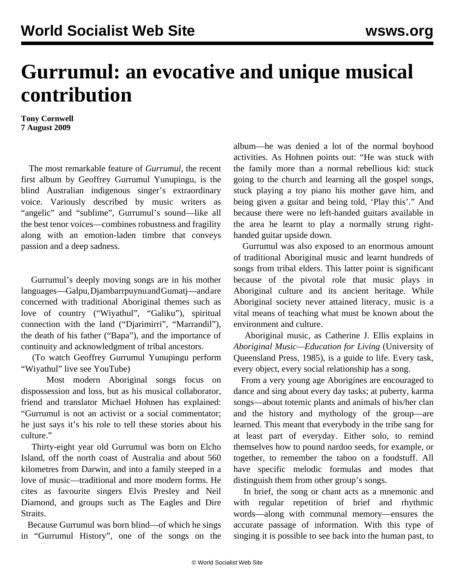## **Gurrumul: an evocative and unique musical contribution**

**Tony Cornwell 7 August 2009**

 The most remarkable feature of *Gurrumul*, the recent first album by Geoffrey Gurrumul Yunupingu, is the blind Australian indigenous singer's extraordinary voice. Variously described by music writers as "angelic" and "sublime", Gurrumul's sound—like all the best tenor voices—combines robustness and fragility along with an emotion-laden timbre that conveys passion and a deep sadness.

 Gurrumul's deeply moving songs are in his mother languages—Galpu, Djambarrpuynu and Gumatj—and are concerned with traditional Aboriginal themes such as love of country ("Wiyathul", "Galiku"), spiritual connection with the land ("Djarimirri", "Marrandil"), the death of his father ("Bapa"), and the importance of continuity and acknowledgment of tribal ancestors.

 (To watch Geoffrey Gurrumul Yunupingu perform "Wiyathul" live see [YouTube](http://www.youtube.com/watch?v=x8-YMpYbRqY))

 Most modern Aboriginal songs focus on dispossession and loss, but as his musical collaborator, friend and translator Michael Hohnen has explained: "Gurrumul is not an activist or a social commentator; he just says it's his role to tell these stories about his culture."

 Thirty-eight year old Gurrumul was born on Elcho Island, off the north coast of Australia and about 560 kilometres from Darwin, and into a family steeped in a love of music—traditional and more modern forms. He cites as favourite singers Elvis Presley and Neil Diamond, and groups such as The Eagles and Dire Straits.

 Because Gurrumul was born blind—of which he sings in "Gurrumul History", one of the songs on the album—he was denied a lot of the normal boyhood activities. As Hohnen points out: "He was stuck with the family more than a normal rebellious kid: stuck going to the church and learning all the gospel songs, stuck playing a toy piano his mother gave him, and being given a guitar and being told, 'Play this'." And because there were no left-handed guitars available in the area he learnt to play a normally strung righthanded guitar upside down.

 Gurrumul was also exposed to an enormous amount of traditional Aboriginal music and learnt hundreds of songs from tribal elders. This latter point is significant because of the pivotal role that music plays in Aboriginal culture and its ancient heritage. While Aboriginal society never attained literacy, music is a vital means of teaching what must be known about the environment and culture.

 Aboriginal music, as Catherine J. Ellis explains in *Aboriginal Music—Education for Living* (University of Queensland Press, 1985), is a guide to life. Every task, every object, every social relationship has a song.

 From a very young age Aborigines are encouraged to dance and sing about every day tasks; at puberty, karma songs—about totemic plants and animals of his/her clan and the history and mythology of the group—are learned. This meant that everybody in the tribe sang for at least part of everyday. Either solo, to remind themselves how to pound nardoo seeds, for example, or together, to remember the taboo on a foodstuff. All have specific melodic formulas and modes that distinguish them from other group's songs.

 In brief, the song or chant acts as a mnemonic and with regular repetition of brief and rhythmic words—along with communal memory—ensures the accurate passage of information. With this type of singing it is possible to see back into the human past, to